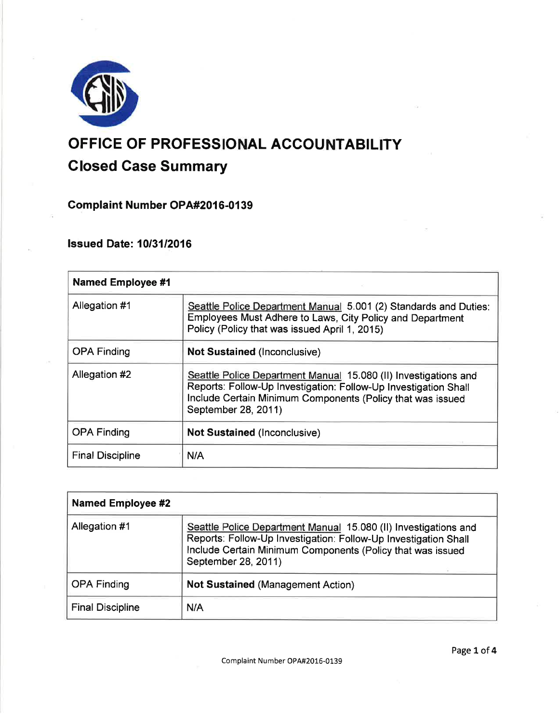

# OFFICE OF PROFESSIONAL ACCOUNTABILITY

# Closed Gase Summary

**Complaint Number OPA#2016-0139** 

lssued Date: 1013112016

| <b>Named Employee #1</b> |                                                                                                                                                                                                                         |  |
|--------------------------|-------------------------------------------------------------------------------------------------------------------------------------------------------------------------------------------------------------------------|--|
| Allegation #1            | Seattle Police Department Manual 5.001 (2) Standards and Duties:<br>Employees Must Adhere to Laws, City Policy and Department<br>Policy (Policy that was issued April 1, 2015)                                          |  |
| <b>OPA Finding</b>       | <b>Not Sustained (Inconclusive)</b>                                                                                                                                                                                     |  |
| Allegation #2            | Seattle Police Department Manual 15.080 (II) Investigations and<br>Reports: Follow-Up Investigation: Follow-Up Investigation Shall<br>Include Certain Minimum Components (Policy that was issued<br>September 28, 2011) |  |
| <b>OPA Finding</b>       | <b>Not Sustained (Inconclusive)</b>                                                                                                                                                                                     |  |
| <b>Final Discipline</b>  | N/A                                                                                                                                                                                                                     |  |

| <b>Named Employee #2</b> |                                                                                                                                                                                                                         |  |
|--------------------------|-------------------------------------------------------------------------------------------------------------------------------------------------------------------------------------------------------------------------|--|
| Allegation #1            | Seattle Police Department Manual 15.080 (II) Investigations and<br>Reports: Follow-Up Investigation: Follow-Up Investigation Shall<br>Include Certain Minimum Components (Policy that was issued<br>September 28, 2011) |  |
| <b>OPA Finding</b>       | <b>Not Sustained (Management Action)</b>                                                                                                                                                                                |  |
| <b>Final Discipline</b>  | N/A                                                                                                                                                                                                                     |  |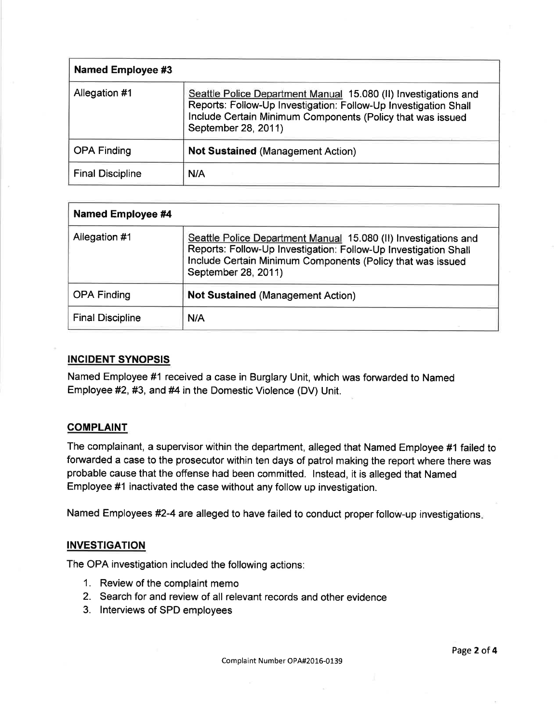| <b>Named Employee #3</b> |                                                                                                                                                                                                                         |
|--------------------------|-------------------------------------------------------------------------------------------------------------------------------------------------------------------------------------------------------------------------|
| Allegation #1            | Seattle Police Department Manual 15.080 (II) Investigations and<br>Reports: Follow-Up Investigation: Follow-Up Investigation Shall<br>Include Certain Minimum Components (Policy that was issued<br>September 28, 2011) |
| <b>OPA Finding</b>       | <b>Not Sustained (Management Action)</b>                                                                                                                                                                                |
| <b>Final Discipline</b>  | N/A                                                                                                                                                                                                                     |

| <b>Named Employee #4</b> |                                                                                                                                                                                                                         |
|--------------------------|-------------------------------------------------------------------------------------------------------------------------------------------------------------------------------------------------------------------------|
| Allegation #1            | Seattle Police Department Manual 15.080 (II) Investigations and<br>Reports: Follow-Up Investigation: Follow-Up Investigation Shall<br>Include Certain Minimum Components (Policy that was issued<br>September 28, 2011) |
| <b>OPA Finding</b>       | <b>Not Sustained (Management Action)</b>                                                                                                                                                                                |
| <b>Final Discipline</b>  | N/A                                                                                                                                                                                                                     |

# INCIDENT SYNOPSIS

Named Employee #1 received a case in Burglary Unit, which was forwarded to Named Employee #2, #3, and #4 in the Domestic Violence (DV) Unit.

## **COMPLAINT**

The complainant, a supervisor within the department, alleged that Named Employee #1 failed to forwarded a case to the prosecutor within ten days of patrol making the report where there was probable cause that the offense had been committed. lnstead, it is alleged that Named Employee #1 inactivated the case without any follow up investigation.

Named Employees #2-4 are alleged to have failed to conduct proper follow-up investigations

# **INVESTIGATION**

The OPA investigation included the following actions:

- 1. Review of the complaint memo
- 2. Search for and review of all relevant records and other evidence
- 3. lnterviews of SPD employees

Complaint Number OPA#2016-0139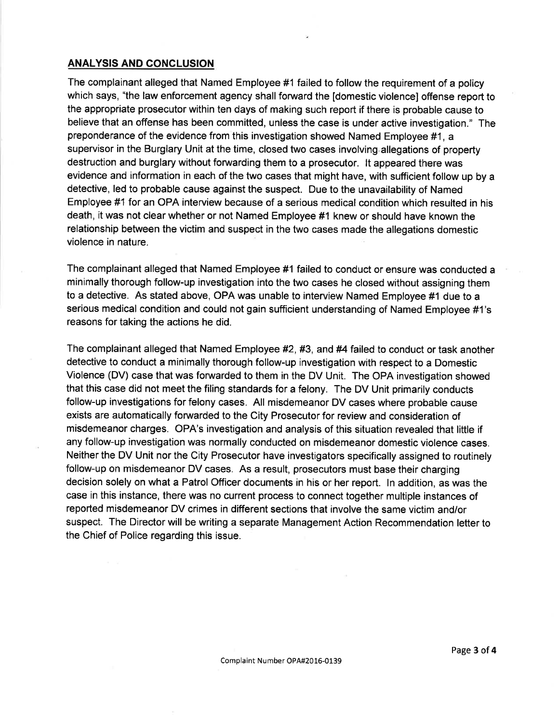# ANALYSIS AND GONCLUSION

The complainant alleged that Named Employee #1 failed to follow the requirement of a policy which says, "the law enforcement agency shall forward the [domestic violence] offense report to the appropriate prosecutor within ten days of making such report if there is probable cause to believe that an offense has been committed, unless the case is under active investigation." The preponderance of the evidence from this investigation showed Named Employee #1, a supervisor in the Burglary Unit at the time, closed two cases involving.allegations of property destruction and burglary without fonruarding them to a prosecutor. lt appeared there was evidence and information in each of the two cases that might have, with sufficient follow up by a detective, led to probable cause against the suspect. Due to the unavailability of Named Employee #1 for an OPA interview because of a serious medical condition which resulted in his death, it was not clear whether or not Named Employee #1 knew or should have known the relationship between the victim and suspect in the two cases made the allegations domestic violence in nature.

The complainant alleged that Named Employee #1 failed to conduct or ensure was conducted a minimally thorough follow-up investigation into the two cases he closed without assigning them to a detective. As stated above, OPA was unable to interview Named Employee #1 due to a serious medical condition and could not gain sufficient understanding of Named Employee #1's reasons for taking the actions he did.

The complainant alleged that Named Employee #2, #3, and #4 failed to conduct or task another detective to conduct a minimally thorough follow-up investigation with respect to a Domestic Violence (DV) case that was forwarded to them in the DV Unit. The OPA investigation showed that this case did not meet the filing standards for a felony. The DV Unit primarily conducts follow-up investigations for felony cases. All misdemeanor DV cases where probable cause exists are automatically forwarded to the City Prosecutor for review and consideration of misdemeanor charges. OPA's investigation and analysis of this situation revealed that little if any follow-up investigation was normally conducted on misdemeanor domestic violence cases. Neither the DV Unit nor the City Prosecutor have investigators specifically assigned to routinely follow-up on misdemeanor DV cases. As a result, prosecutors must base their charging decision solely on what a Patrol Officer documents in his or her report. In addition, as was the case in this instance, there was no current process to connect together multiple instances of reported misdemeanor DV crimes in different sections that involve the same victim and/or suspect. The Director will be writing a separate Management Action Recommendation letter to the Chief of Police regarding this issue.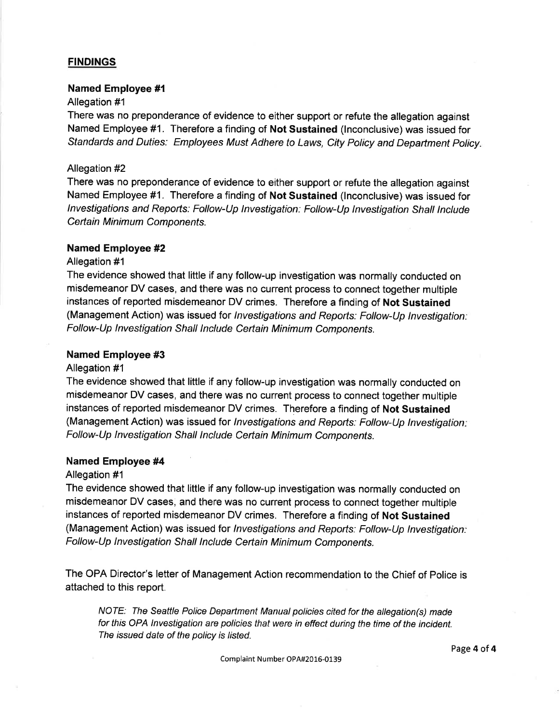## **FINDINGS**

# Named Employee #l

#### Allegation #1

There was no preponderance of evidence to either support or refute the allegation against Named Employee #1. Therefore a finding of Not Sustained (lnconclusive) was issued for Standards and Duties: Employees Must Adhere to Laws, City Policy and Department Policy.

#### Allegation #2

There was no preponderance of evidence to either support or refute the allegation against Named Employee #1. Therefore a finding of Not Sustained (lnconclusive) was issued for lnvestigations and Reporfs; Follow-Up Investigation: Follow-Up Investigation Shall tnctude Certain Minimum Components.

#### Named Employee #2

# Allegation #1

The evidence showed that little if any follow-up investigation was normally conducted on misdemeanor DV cases, and there was no current process to connect together multiple instances of reported misdemeanor DV crimes. Therefore a finding of Not Sustained (Management Action) was issued for Investigations and Reports: Follow-Up Investigation: Follow-Up lnvestigation Shall lnclude Certain Minimum Components.

#### Named Employee #3

#### Allegation #1

The evidence showed that little if any follow-up investigation was normally conducted on misdemeanor DV cases, and there was no current process to connect together multiple instances of reported misdemeanor DV crimes. Therefore a finding of Not Sustained (Management Action) was issued for Investigations and Reports: Follow-Up Investigation: Follow-Up lnvestigation Shall lnclude Certain Minimum Components.

#### Named Employee #4

#### Allegation #1

The evidence showed that little if any follow-up investigation was normally conducted on misdemeanor DV cases, and there was no current process to connect together multiple instances of reported misdemeanor DV crimes. Therefore a finding of Not Sustained (Management Action) was issued for *Investigations and Reports: Follow-Up Investigation:* Follow-Up lnvestigation Shall lnclude Certain Minimum Components.

The OPA Director's letter of Management Action recommendation to the Chief of Police is attached to this report.

NOTE: The Seattle Police Department Manual policies cifed for the allegation(s) made for this OPA lnvestigation are policies that were in effect during the time of the incident. The issued date of the policy is listed.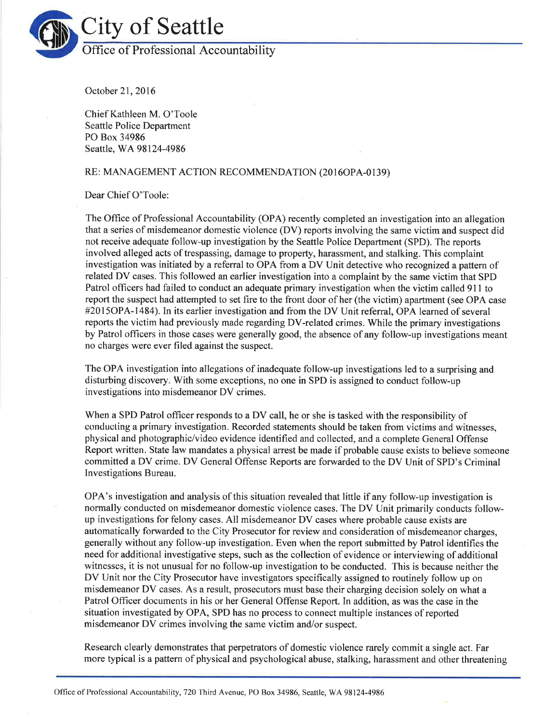

October 21,2016

Chief Kathleen M. O'Toole Seattle Police Department PO Box 34986 Seattle, WA98l24-4986

#### RE: MANAGEMENT ACTION RECOMMENDATION (2016OPA-0139)

Dear Chief O'Toole:

The Office of Professional Accountability (OPA) recently completed an investigation into an allegation that a series of misdemeanor domestic violence (DV) reports involving the same victim and suspect did not receive adequate follow-up investigation by the Seattle Police Department (SPD). The reports involved alleged acts of trespassing, damage to property, harassment, and stalking. This complaint investigation was initiated by a referral to OPA from a DV Unit detective who recognized a pattern of related DV cases. This followed an earlier investigation into a complaint by the same victim that SPD Patrol officers had failed to conduct an adequate primary investigation when the victim called 911 to report the suspect had attempted to set fire to the front door of her (the victim) apartment (see OPA case #20l5OPA-1484). In its earlier investigation and from the DV Unit referral, OPA learned of several reports the victim had previously made regarding DV-related crimes. While the primary investigations by Patrol ofltcers in those cases were generally good, the absence of any follow-up investigations meant no charges were ever filed against the suspect.

The OPA investigation into allegations of inadequate follow-up investigations led to a surprising and disturbing discovery. With some exceptions, no one in SPD is assigned to conduct follow-up investigations into misdemeanor DV crimes.

When a SPD Patrol officer responds to a DV call, he or she is tasked with the responsibility of contlucting a primary investigation. Recorded statements should be taken from victims and witnesses, physical and photographic/video evidence identified and collected, and a complete General Offense Report written. State law mandates a physical arrest be made if probable cause exists to believe someone committed a DV crime. DV General Offense Reports are forwarded to the DV Unit of SPD's Criminal Investigations Bureau.

OPA's investigation and analysis of this situation revealed that little if any follow-up investigation is normally conducted on misdemeanor domestic violence cases. The DV Unit primarily conducts followup investigations for felony cases. All misdemeanor DV cases where probable cause exists are automatically forwarded to the City Prosecutor for review and consideration of misdemeanor charges, generally without any follow-up investigation. Even when the report submitted by Patrol identifies the need for additional investigative steps, such as the collection of evidence or interviewing of additional witnesses, it is not unusual for no follow-up investigation to be conducted. This is because neither the DV Unit nor the City Prosecutor have investigators specifically assigned to routinely follow up on misdemeanor DV cases. As a result, prosecutors must base their charging decision solely on what a Patrol Officer documents in his or her General Offense Report. In addition, as was the case in the situation investigated by OPA, SPD has no process to connect multiple instances of reported misdemeanor DV crimes involving the same victim and/or suspect.

Research clearly demonstrates that perpetrators of domestic violence rarely commit a single act. Far more typical is a pattern of physical and psychological abuse, stalking, harassment and other threatening